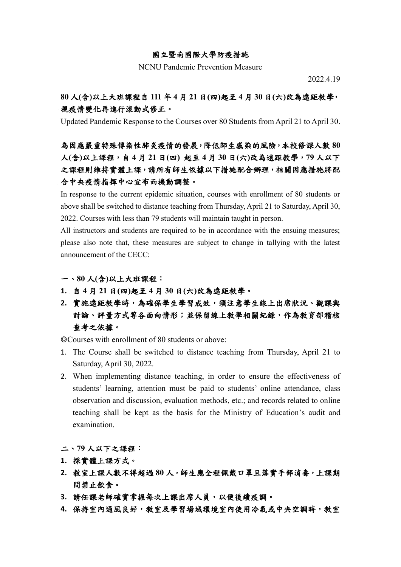#### 國立暨南國際大學防疫措施

NCNU Pandemic Prevention Measure

2022.4.19

### **80** 人**(**含**)**以上大班課程自 **111** 年 **4** 月 **21** 日**(**四**)**起至 **4** 月 **30** 日**(**六**)**改為遠距教學, 視疫情變化再進行滾動式修正。

Updated Pandemic Response to the Courses over 80 Students from April 21 to April 30.

## 為因應嚴重特殊傳染性肺炎疫情的發展,降低師生感染的風險,本校修課人數 **80** 人**(**含**)**以上課程,自 **4** 月 **21** 日**(**四**)** 起至 **4** 月 **30** 日**(**六**)**改為遠距教學,**79** 人以下 之課程則維持實體上課,請所有師生依據以下措施配合辦理,相關因應措施將配 合中央疫情指揮中心宣布而機動調整。

In response to the current epidemic situation, courses with enrollment of 80 students or above shall be switched to distance teaching from Thursday, April 21 to Saturday, April 30, 2022. Courses with less than 79 students will maintain taught in person.

All instructors and students are required to be in accordance with the ensuing measures; please also note that, these measures are subject to change in tallying with the latest announcement of the CECC:

#### 一、**80** 人**(**含**)**以上大班課程:

- **1.** 自 **4** 月 **21** 日**(**四**)**起至 **4** 月 **30** 日**(**六**)**改為遠距教學。
- **2.** 實施遠距教學時,為確保學生學習成效,須注意學生線上出席狀況、觀課與 討論、評量方式等各面向情形;並保留線上教學相關紀錄,作為教育部稽核 查考之依據。

◎Courses with enrollment of 80 students or above:

- 1. The Course shall be switched to distance teaching from Thursday, April 21 to Saturday, April 30, 2022.
- 2. When implementing distance teaching, in order to ensure the effectiveness of students' learning, attention must be paid to students' online attendance, class observation and discussion, evaluation methods, etc.; and records related to online teaching shall be kept as the basis for the Ministry of Education's audit and examination.

二、**79** 人以下之課程:

- **1.** 採實體上課方式。
- **2.** 教室上課人數不得超過 **80** 人,師生應全程佩戴口罩且落實手部消毒,上課期 間禁止飲食。
- **3.** 請任課老師確實掌握每次上課出席人員,以便後續疫調。
- **4.** 保持室內通風良好,教室及學習場域環境室內使用冷氣或中央空調時,教室